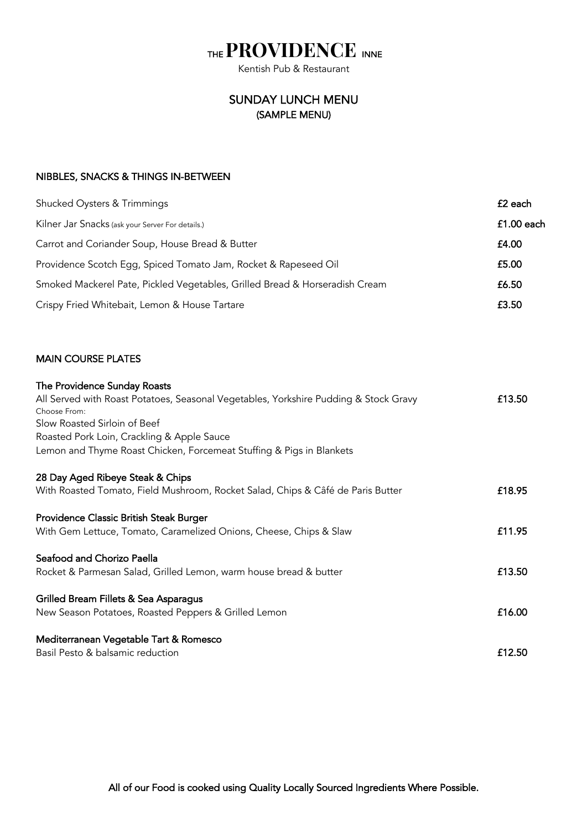## THE **PROVIDENCE** INNE

## SUNDAY LUNCH MENU (SAMPLE MENU)

## NIBBLES, SNACKS & THINGS IN-BETWEEN

| <b>Shucked Oysters &amp; Trimmings</b>                                                                                                                                                                                                                                                     | £2 each      |
|--------------------------------------------------------------------------------------------------------------------------------------------------------------------------------------------------------------------------------------------------------------------------------------------|--------------|
| Kilner Jar Snacks (ask your Server For details.)                                                                                                                                                                                                                                           | $£1.00$ each |
| Carrot and Coriander Soup, House Bread & Butter                                                                                                                                                                                                                                            | £4.00        |
| Providence Scotch Egg, Spiced Tomato Jam, Rocket & Rapeseed Oil                                                                                                                                                                                                                            | £5.00        |
| Smoked Mackerel Pate, Pickled Vegetables, Grilled Bread & Horseradish Cream                                                                                                                                                                                                                | £6.50        |
| Crispy Fried Whitebait, Lemon & House Tartare                                                                                                                                                                                                                                              | £3.50        |
| <b>MAIN COURSE PLATES</b>                                                                                                                                                                                                                                                                  |              |
| The Providence Sunday Roasts<br>All Served with Roast Potatoes, Seasonal Vegetables, Yorkshire Pudding & Stock Gravy<br>Choose From:<br>Slow Roasted Sirloin of Beef<br>Roasted Pork Loin, Crackling & Apple Sauce<br>Lemon and Thyme Roast Chicken, Forcemeat Stuffing & Pigs in Blankets | £13.50       |
| 28 Day Aged Ribeye Steak & Chips<br>With Roasted Tomato, Field Mushroom, Rocket Salad, Chips & Câfé de Paris Butter                                                                                                                                                                        | £18.95       |
| Providence Classic British Steak Burger<br>With Gem Lettuce, Tomato, Caramelized Onions, Cheese, Chips & Slaw                                                                                                                                                                              | £11.95       |

| Seafood and Chorizo Paella<br>Rocket & Parmesan Salad, Grilled Lemon, warm house bread & butter | £13.50 |
|-------------------------------------------------------------------------------------------------|--------|
| Grilled Bream Fillets & Sea Asparagus<br>New Season Potatoes, Roasted Peppers & Grilled Lemon   | £16.00 |
| Mediterranean Vegetable Tart & Romesco<br>Basil Pesto & balsamic reduction                      | £12.50 |